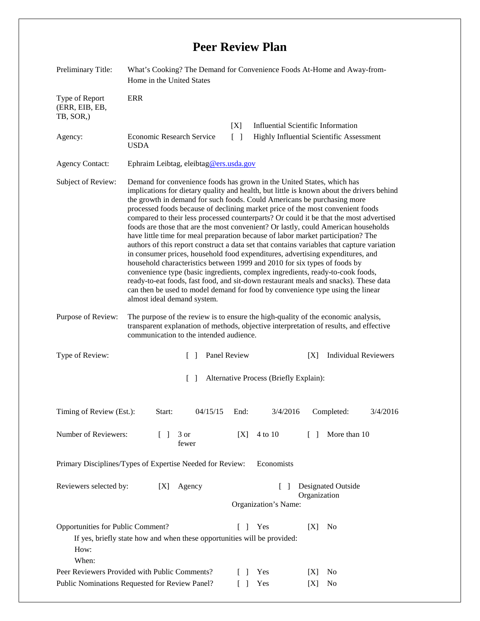## **Peer Review Plan**

| Preliminary Title:                                                                              | What's Cooking? The Demand for Convenience Foods At-Home and Away-from-<br>Home in the United States                                                                                                                                                                                                                                                                                                                                                                                                                                                                                                                                                                                                                                                                                                                                                                                                                                                                                                                                                                                                                                                         |                                   |                                                            |                                                 |                             |
|-------------------------------------------------------------------------------------------------|--------------------------------------------------------------------------------------------------------------------------------------------------------------------------------------------------------------------------------------------------------------------------------------------------------------------------------------------------------------------------------------------------------------------------------------------------------------------------------------------------------------------------------------------------------------------------------------------------------------------------------------------------------------------------------------------------------------------------------------------------------------------------------------------------------------------------------------------------------------------------------------------------------------------------------------------------------------------------------------------------------------------------------------------------------------------------------------------------------------------------------------------------------------|-----------------------------------|------------------------------------------------------------|-------------------------------------------------|-----------------------------|
| Type of Report<br>(ERR, EIB, EB,                                                                | ERR                                                                                                                                                                                                                                                                                                                                                                                                                                                                                                                                                                                                                                                                                                                                                                                                                                                                                                                                                                                                                                                                                                                                                          |                                   |                                                            |                                                 |                             |
| TB, SOR,)                                                                                       |                                                                                                                                                                                                                                                                                                                                                                                                                                                                                                                                                                                                                                                                                                                                                                                                                                                                                                                                                                                                                                                                                                                                                              | [X]                               |                                                            | <b>Influential Scientific Information</b>       |                             |
| Agency:                                                                                         | Economic Research Service<br><b>USDA</b>                                                                                                                                                                                                                                                                                                                                                                                                                                                                                                                                                                                                                                                                                                                                                                                                                                                                                                                                                                                                                                                                                                                     | $\begin{bmatrix} 1 \end{bmatrix}$ |                                                            | <b>Highly Influential Scientific Assessment</b> |                             |
| <b>Agency Contact:</b>                                                                          | Ephraim Leibtag, eleibtag@ers.usda.gov                                                                                                                                                                                                                                                                                                                                                                                                                                                                                                                                                                                                                                                                                                                                                                                                                                                                                                                                                                                                                                                                                                                       |                                   |                                                            |                                                 |                             |
| Subject of Review:                                                                              | Demand for convenience foods has grown in the United States, which has<br>implications for dietary quality and health, but little is known about the drivers behind<br>the growth in demand for such foods. Could Americans be purchasing more<br>processed foods because of declining market price of the most convenient foods<br>compared to their less processed counterparts? Or could it be that the most advertised<br>foods are those that are the most convenient? Or lastly, could American households<br>have little time for meal preparation because of labor market participation? The<br>authors of this report construct a data set that contains variables that capture variation<br>in consumer prices, household food expenditures, advertising expenditures, and<br>household characteristics between 1999 and 2010 for six types of foods by<br>convenience type (basic ingredients, complex ingredients, ready-to-cook foods,<br>ready-to-eat foods, fast food, and sit-down restaurant meals and snacks). These data<br>can then be used to model demand for food by convenience type using the linear<br>almost ideal demand system. |                                   |                                                            |                                                 |                             |
| Purpose of Review:                                                                              | The purpose of the review is to ensure the high-quality of the economic analysis,<br>transparent explanation of methods, objective interpretation of results, and effective<br>communication to the intended audience.                                                                                                                                                                                                                                                                                                                                                                                                                                                                                                                                                                                                                                                                                                                                                                                                                                                                                                                                       |                                   |                                                            |                                                 |                             |
| Type of Review:<br>Panel Review<br>$\Box$                                                       |                                                                                                                                                                                                                                                                                                                                                                                                                                                                                                                                                                                                                                                                                                                                                                                                                                                                                                                                                                                                                                                                                                                                                              |                                   |                                                            | [X]                                             | <b>Individual Reviewers</b> |
| Alternative Process (Briefly Explain):<br>$\Box$                                                |                                                                                                                                                                                                                                                                                                                                                                                                                                                                                                                                                                                                                                                                                                                                                                                                                                                                                                                                                                                                                                                                                                                                                              |                                   |                                                            |                                                 |                             |
| Timing of Review (Est.):                                                                        | Start:                                                                                                                                                                                                                                                                                                                                                                                                                                                                                                                                                                                                                                                                                                                                                                                                                                                                                                                                                                                                                                                                                                                                                       | $04/15/15$ End:                   |                                                            | $3/4/2016$ Completed:                           | 3/4/2016                    |
| Number of Reviewers:                                                                            | 3 or<br>$\lceil$ $\rceil$<br>fewer                                                                                                                                                                                                                                                                                                                                                                                                                                                                                                                                                                                                                                                                                                                                                                                                                                                                                                                                                                                                                                                                                                                           | [X]                               | 4 to 10                                                    | More than 10<br>$\Box$                          |                             |
| Primary Disciplines/Types of Expertise Needed for Review:<br>Economists                         |                                                                                                                                                                                                                                                                                                                                                                                                                                                                                                                                                                                                                                                                                                                                                                                                                                                                                                                                                                                                                                                                                                                                                              |                                   |                                                            |                                                 |                             |
| Reviewers selected by:<br>[X]<br>Agency                                                         |                                                                                                                                                                                                                                                                                                                                                                                                                                                                                                                                                                                                                                                                                                                                                                                                                                                                                                                                                                                                                                                                                                                                                              |                                   | Designated Outside<br>Organization<br>Organization's Name: |                                                 |                             |
| Opportunities for Public Comment?<br>How:<br>When:                                              | If yes, briefly state how and when these opportunities will be provided:                                                                                                                                                                                                                                                                                                                                                                                                                                                                                                                                                                                                                                                                                                                                                                                                                                                                                                                                                                                                                                                                                     | $\Box$<br>$\mathbf{L}$            | Yes                                                        | No<br>[X]                                       |                             |
| Peer Reviewers Provided with Public Comments?<br>Public Nominations Requested for Review Panel? |                                                                                                                                                                                                                                                                                                                                                                                                                                                                                                                                                                                                                                                                                                                                                                                                                                                                                                                                                                                                                                                                                                                                                              |                                   | Yes<br>Yes                                                 | N <sub>0</sub><br> X <br>No<br>[X]              |                             |
| $\Box$                                                                                          |                                                                                                                                                                                                                                                                                                                                                                                                                                                                                                                                                                                                                                                                                                                                                                                                                                                                                                                                                                                                                                                                                                                                                              |                                   |                                                            |                                                 |                             |